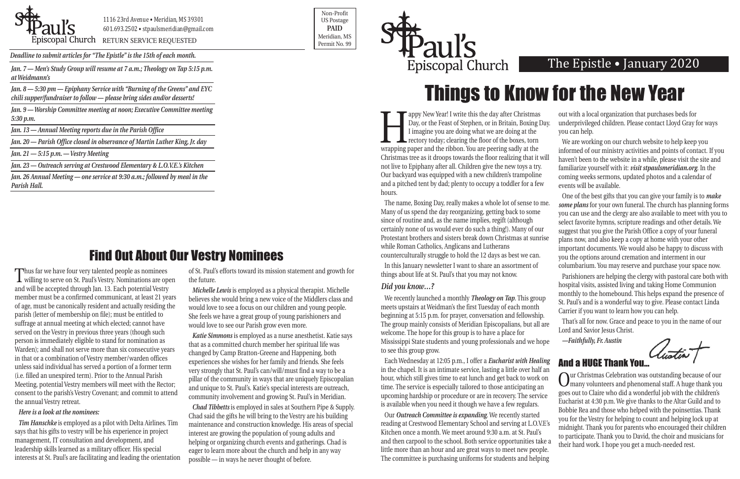

1116 23rd Avenue • Meridian, MS 39301 601.693.2502 • stpaulsmeridian@gmail.com

Postagged in the permit No. 99

Non-Profit US Postage **PAID** Meridian, MS

*Deadline to submit articles for "The Epistle" is the 15th of each month.* 



*at Weidmann's*

*Jan. 8 — 5:30 pm — Epiphany Service with "Burning of the Greens" and EYC chili supper/fundraiser to follow — please bring sides and/or desserts!*

*Jan. 9 — Worship Committee meeting at noon; Executive Committee meeting 5:30 p.m.*

*Jan. 13 — Annual Meeting reports due in the Parish Office* 

*Jan. 20 — Parish Office closed in observance of Martin Luther King, Jr. day*

*Jan. 21 — 5:15 p.m. — Vestry Meeting*

*Jan. 23 — Outreach serving at Crestwood Elementary & L.O.V.E.'s Kitchen*

*Jan. 26 Annual Meeting — one service at 9:30 a.m.; followed by meal in the Parish Hall.*

Thus far we have four very talented people as nominees willing to serve on St. Paul's Vestry. Nominations are open and will be accepted through Jan. 13. Each potential Vestry member must be a confirmed communicant, at least 21 years of age, must be canonically resident and actually residing the parish (letter of membership on file); must be entitled to suffrage at annual meeting at which elected; cannot have served on the Vestry in previous three years (though such person is immediately eligible to stand for nomination as Warden); and shall not serve more than six consecutive years in that or a combination of Vestry member/warden offices unless said individual has served a portion of a former term (i.e. filled an unexpired term). Prior to the Annual Parish Meeting, potential Vestry members will meet with the Rector; consent to the parish's Vestry Covenant; and commit to attend the annual Vestry retreat.

#### *Here is a look at the nominees:*

*Tim Hanschke* is employed as a pilot with Delta Airlines. Tim says that his gifts to vestry will be his experience in project management, IT consultation and development, and leadership skills learned as a military officer. His special interests at St. Paul's are facilitating and leading the orientation of St. Paul's efforts toward its mission statement and growth for the future.

*Michelle Lewis* is employed as a physical therapist. Michelle believes she would bring a new voice of the Middlers class and would love to see a focus on our children and young people. She feels we have a great group of young parishioners and would love to see our Parish grow even more.

*Katie Simmons* is employed as a nurse anesthetist. Katie says that as a committed church member her spiritual life was changed by Camp Bratton-Greene and Happening, both experiences she wishes for her family and friends. She feels very strongly that St. Paul's can/will/must find a way to be a pillar of the community in ways that are uniquely Episcopalian and unique to St. Paul's. Katie's special interests are outreach, community involvement and growing St. Paul's in Meridian.

Tappy New Year! I write this the day after Christmas<br>Day, or the Feast of Stephen, or in Britain, Boxing I<br>I imagine you are doing what we are doing at the<br>rectory today; clearing the floor of the boxes, torn<br>wrapping pape Day, or the Feast of Stephen, or in Britain, Boxing Day. I imagine you are doing what we are doing at the rectory today; clearing the floor of the boxes, torn wrapping paper and the ribbon. You are peering sadly at the Christmas tree as it droops towards the floor realizing that it will not live to Epiphany after all. Children give the new toys a try. Our backyard was equipped with a new children's trampoline and a pitched tent by dad; plenty to occupy a toddler for a few hours. out with a local organization that purchases beds for underprivileged children. Please contact Lloyd Gray for ways you can help. We are working on our church website to help keep you informed of our ministry activities and points of contact. If you haven't been to the website in a while, please visit the site and familiarize yourself with it: *visit stpaulsmeridian.org*. In the coming weeks sermons, updated photos and a calendar of events will be available.

*Chad Tibbetts* is employed in sales at Southern Pipe & Supply. Chad said the gifts he will bring to the Vestry are his building maintenance and construction knowledge. His areas of special interest are growing the population of young adults and helping or organizing church events and gatherings. Chad is eager to learn more about the church and help in any way possible — in ways he never thought of before.

things about life at St. Paul's that you may not know.

#### *Did you know…?*

Each Wednesday at 12:05 p.m., I offer a *Eucharist with Healing* in the chapel. It is an intimate service, lasting a little over half an hour, which still gives time to eat lunch and get back to work on time. The service is especially tailored to those anticipating an upcoming hardship or procedure or are in recovery. The service is available when you need it though we have a few regulars.

The name, Boxing Day, really makes a whole lot of sense to me. Many of us spend the day reorganizing, getting back to some since of routine and, as the name implies, regift (although certainly none of us would ever do such a thing!). Many of our Protestant brothers and sisters break down Christmas at sunrise while Roman Catholics, Anglicans and Lutherans counterculturally struggle to hold the 12 days as best we can. In this January newsletter I want to share an assortment of One of the best gifts that you can give your family is to *make some plans* for your own funeral. The church has planning forms you can use and the clergy are also available to meet with you to select favorite hymns, scripture readings and other details. We suggest that you give the Parish Office a copy of your funeral plans now, and also keep a copy at home with your other important documents. We would also be happy to discuss with you the options around cremation and interment in our columbarium. You may reserve and purchase your space now.

Our *Outreach Committee is expanding*. We recently started reading at Crestwood Elementary School and serving at L.O.V.E's Kitchen once a month. We meet around 9:30 a.m. at St. Paul's and then carpool to the school. Both service opportunities take a little more than an hour and are great ways to meet new people. The committee is purchasing uniforms for students and helping

We recently launched a monthly *Theology on Tap*. This group meets upstairs at Weidman's the first Tuesday of each month beginning at 5:15 p.m. for prayer, conversation and fellowship. The group mainly consists of Meridian Episcopalians, but all are welcome. The hope for this group is to have a place for Mississippi State students and young professionals and we hope to see this group grow. St. Paul's and is a wonderful way to give. Please contact Linda Carrier if you want to learn how you can help. That's all for now. Grace and peace to you in the name of our Lord and Savior Jesus Christ. *—Faithfully, Fr. Austin*

Parishioners are helping the clergy with pastoral care both with hospital visits, assisted living and taking Home Communion monthly to the homebound. This helps expand the presence of

### And a HUGE Thank You…

Our Christmas Celebration was outstanding because of our many volunteers and phenomenal staff. A huge thank you goes out to Claire who did a wonderful job with the children's Eucharist at 4:30 p.m. We give thanks to the Altar Guild and to Bobbie Rea and those who helped with the poinsettias. Thank you for the Vestry for helping to count and helping lock up at midnight. Thank you for parents who encouraged their children to participate. Thank you to David, the choir and musicians for their hard work. I hope you get a much-needed rest.

# Find Out About Our Vestry Nominees

# Things to Know for the New Year